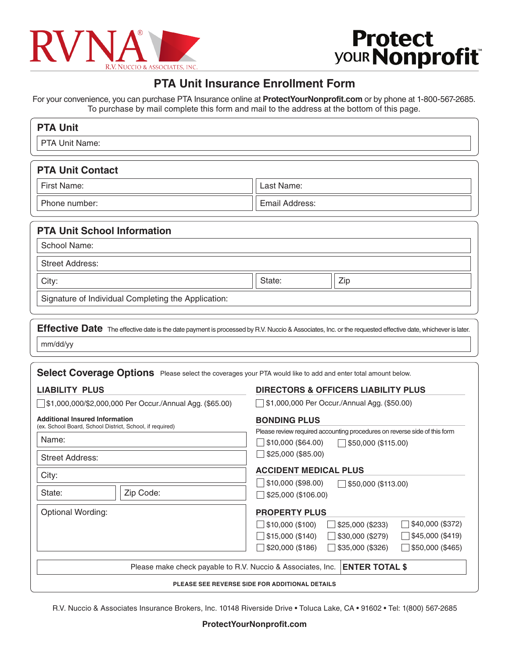

# **Protect<br>
your Nonprofit**

# **PTA Unit Insurance Enrollment Form**

For your convenience, you can purchase PTA Insurance online at **ProtectYourNonprofit.com** or by phone at 1-800-567-2685. To purchase by mail complete this form and mail to the address at the bottom of this page.

| <b>PTA Unit</b>                                                                                                                                                       |                                                                                                                                                                                                          |
|-----------------------------------------------------------------------------------------------------------------------------------------------------------------------|----------------------------------------------------------------------------------------------------------------------------------------------------------------------------------------------------------|
| PTA Unit Name:                                                                                                                                                        |                                                                                                                                                                                                          |
| <b>PTA Unit Contact</b>                                                                                                                                               |                                                                                                                                                                                                          |
| First Name:                                                                                                                                                           | Last Name:                                                                                                                                                                                               |
| Phone number:                                                                                                                                                         | Email Address:                                                                                                                                                                                           |
| <b>PTA Unit School Information</b>                                                                                                                                    |                                                                                                                                                                                                          |
| School Name:                                                                                                                                                          |                                                                                                                                                                                                          |
| <b>Street Address:</b>                                                                                                                                                |                                                                                                                                                                                                          |
| City:                                                                                                                                                                 | State:<br>Zip                                                                                                                                                                                            |
| Signature of Individual Completing the Application:                                                                                                                   |                                                                                                                                                                                                          |
| Effective Date The effective date is the date payment is processed by R.V. Nuccio & Associates, Inc. or the requested effective date, whichever is later.<br>mm/dd/yy |                                                                                                                                                                                                          |
| Select Coverage Options Please select the coverages your PTA would like to add and enter total amount below.                                                          |                                                                                                                                                                                                          |
| <b>LIABILITY PLUS</b><br>\$1,000,000/\$2,000,000 Per Occur./Annual Agg. (\$65.00)                                                                                     | <b>DIRECTORS &amp; OFFICERS LIABILITY PLUS</b><br>\$1,000,000 Per Occur./Annual Agg. (\$50.00)                                                                                                           |
| <b>Additional Insured Information</b><br>(ex. School Board, School District, School, if required)                                                                     | <b>BONDING PLUS</b>                                                                                                                                                                                      |
| Name:                                                                                                                                                                 | Please review required accounting procedures on reverse side of this form<br>\$10,000 (\$64.00)<br>\$50,000 (\$115.00)                                                                                   |
| <b>Street Address:</b>                                                                                                                                                | \$25,000 (\$85.00)                                                                                                                                                                                       |
| City:                                                                                                                                                                 | <b>ACCIDENT MEDICAL PLUS</b>                                                                                                                                                                             |
| State:<br>Zip Code:                                                                                                                                                   | \$10,000 (\$98.00)<br>$\Box$ \$50,000 (\$113.00)                                                                                                                                                         |
|                                                                                                                                                                       | \$25,000 (\$106.00)                                                                                                                                                                                      |
| <b>Optional Wording:</b>                                                                                                                                              | <b>PROPERTY PLUS</b><br>\$40,000 (\$372)<br>\$10,000 (\$100)<br>\$25,000 (\$233)<br>\$15,000 (\$140)<br>\$30,000 (\$279)<br>\$45,000 (\$419)<br>\$20,000 (\$186)<br>\$35,000 (\$326)<br>\$50,000 (\$465) |
| <b>ENTER TOTAL \$</b><br>Please make check payable to R.V. Nuccio & Associates, Inc.                                                                                  |                                                                                                                                                                                                          |
| PLEASE SEE REVERSE SIDE FOR ADDITIONAL DETAILS                                                                                                                        |                                                                                                                                                                                                          |

R.V. Nuccio & Associates Insurance Brokers, Inc. 10148 Riverside Drive • Toluca Lake, CA • 91602 • Tel: 1(800) 567-2685

#### **ProtectYourNonprofit.com**